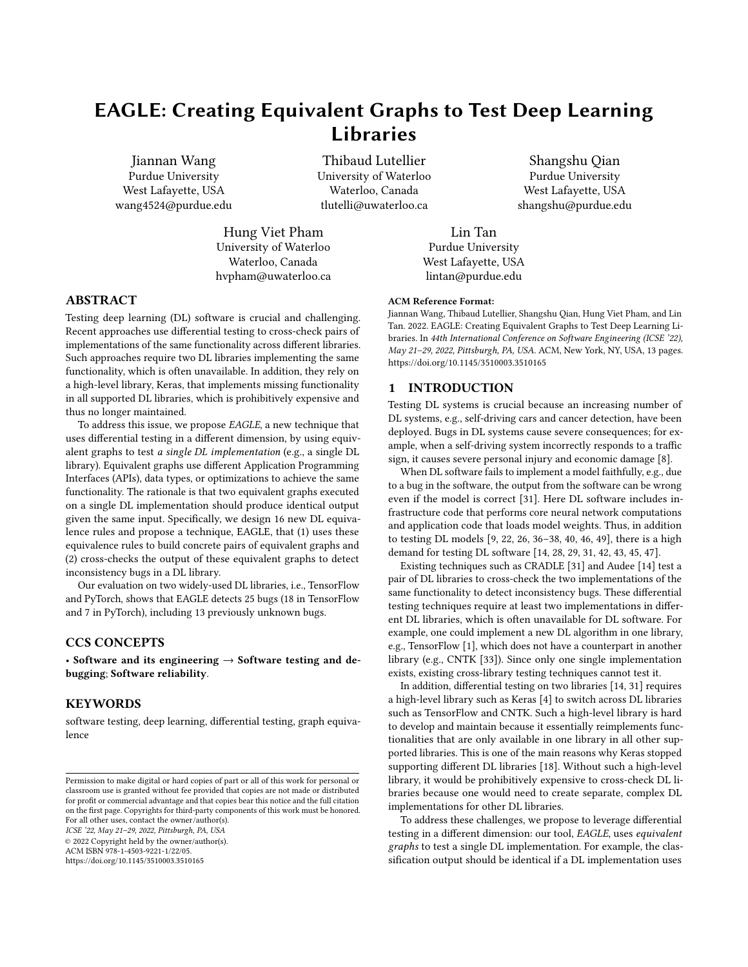# EAGLE: Creating Equivalent Graphs to Test Deep Learning Libraries

Jiannan Wang Purdue University West Lafayette, USA wang4524@purdue.edu

Thibaud Lutellier University of Waterloo Waterloo, Canada tlutelli@uwaterloo.ca

Hung Viet Pham University of Waterloo Waterloo, Canada hvpham@uwaterloo.ca

shangshu@purdue.edu Lin Tan Purdue University West Lafayette, USA

lintan@purdue.edu

ABSTRACT

Testing deep learning (DL) software is crucial and challenging. Recent approaches use differential testing to cross-check pairs of implementations of the same functionality across different libraries. Such approaches require two DL libraries implementing the same functionality, which is often unavailable. In addition, they rely on a high-level library, Keras, that implements missing functionality in all supported DL libraries, which is prohibitively expensive and thus no longer maintained.

To address this issue, we propose EAGLE, a new technique that uses differential testing in a different dimension, by using equivalent graphs to test a single DL implementation (e.g., a single DL library). Equivalent graphs use different Application Programming Interfaces (APIs), data types, or optimizations to achieve the same functionality. The rationale is that two equivalent graphs executed on a single DL implementation should produce identical output given the same input. Specifically, we design 16 new DL equivalence rules and propose a technique, EAGLE, that (1) uses these equivalence rules to build concrete pairs of equivalent graphs and (2) cross-checks the output of these equivalent graphs to detect inconsistency bugs in a DL library.

Our evaluation on two widely-used DL libraries, i.e., TensorFlow and PyTorch, shows that EAGLE detects 25 bugs (18 in TensorFlow and 7 in PyTorch), including 13 previously unknown bugs.

# CCS CONCEPTS

• Software and its engineering  $\rightarrow$  Software testing and debugging; Software reliability.

# **KEYWORDS**

software testing, deep learning, differential testing, graph equivalence

ICSE '22, May 21–29, 2022, Pittsburgh, PA, USA

© 2022 Copyright held by the owner/author(s).

ACM ISBN 978-1-4503-9221-1/22/05.

<https://doi.org/10.1145/3510003.3510165>

#### ACM Reference Format:

Jiannan Wang, Thibaud Lutellier, Shangshu Qian, Hung Viet Pham, and Lin Tan. 2022. EAGLE: Creating Equivalent Graphs to Test Deep Learning Libraries. In 44th International Conference on Software Engineering (ICSE '22), May 21–29, 2022, Pittsburgh, PA, USA. ACM, New York, NY, USA, [13](#page-12-0) pages. <https://doi.org/10.1145/3510003.3510165>

Shangshu Qian Purdue University West Lafayette, USA

#### 1 INTRODUCTION

Testing DL systems is crucial because an increasing number of DL systems, e.g., self-driving cars and cancer detection, have been deployed. Bugs in DL systems cause severe consequences; for example, when a self-driving system incorrectly responds to a traffic sign, it causes severe personal injury and economic damage [\[8\]](#page-11-0).

When DL software fails to implement a model faithfully, e.g., due to a bug in the software, the output from the software can be wrong even if the model is correct [\[31\]](#page-11-1). Here DL software includes infrastructure code that performs core neural network computations and application code that loads model weights. Thus, in addition to testing DL models [\[9,](#page-11-2) [22,](#page-11-3) [26,](#page-11-4) [36–](#page-11-5)[38,](#page-11-6) [40,](#page-11-7) [46,](#page-12-1) [49\]](#page-12-2), there is a high demand for testing DL software [\[14,](#page-11-8) [28,](#page-11-9) [29,](#page-11-10) [31,](#page-11-1) [42,](#page-11-11) [43,](#page-11-12) [45,](#page-11-13) [47\]](#page-12-3).

Existing techniques such as CRADLE [\[31\]](#page-11-1) and Audee [\[14\]](#page-11-8) test a pair of DL libraries to cross-check the two implementations of the same functionality to detect inconsistency bugs. These differential testing techniques require at least two implementations in different DL libraries, which is often unavailable for DL software. For example, one could implement a new DL algorithm in one library, e.g., TensorFlow [\[1\]](#page-11-14), which does not have a counterpart in another library (e.g., CNTK [\[33\]](#page-11-15)). Since only one single implementation exists, existing cross-library testing techniques cannot test it.

In addition, differential testing on two libraries [\[14,](#page-11-8) [31\]](#page-11-1) requires a high-level library such as Keras [\[4\]](#page-11-16) to switch across DL libraries such as TensorFlow and CNTK. Such a high-level library is hard to develop and maintain because it essentially reimplements functionalities that are only available in one library in all other supported libraries. This is one of the main reasons why Keras stopped supporting different DL libraries [\[18\]](#page-11-17). Without such a high-level library, it would be prohibitively expensive to cross-check DL libraries because one would need to create separate, complex DL implementations for other DL libraries.

To address these challenges, we propose to leverage differential testing in a different dimension: our tool, EAGLE, uses equivalent graphs to test a single DL implementation. For example, the classification output should be identical if a DL implementation uses

Permission to make digital or hard copies of part or all of this work for personal or classroom use is granted without fee provided that copies are not made or distributed for profit or commercial advantage and that copies bear this notice and the full citation on the first page. Copyrights for third-party components of this work must be honored. For all other uses, contact the owner/author(s).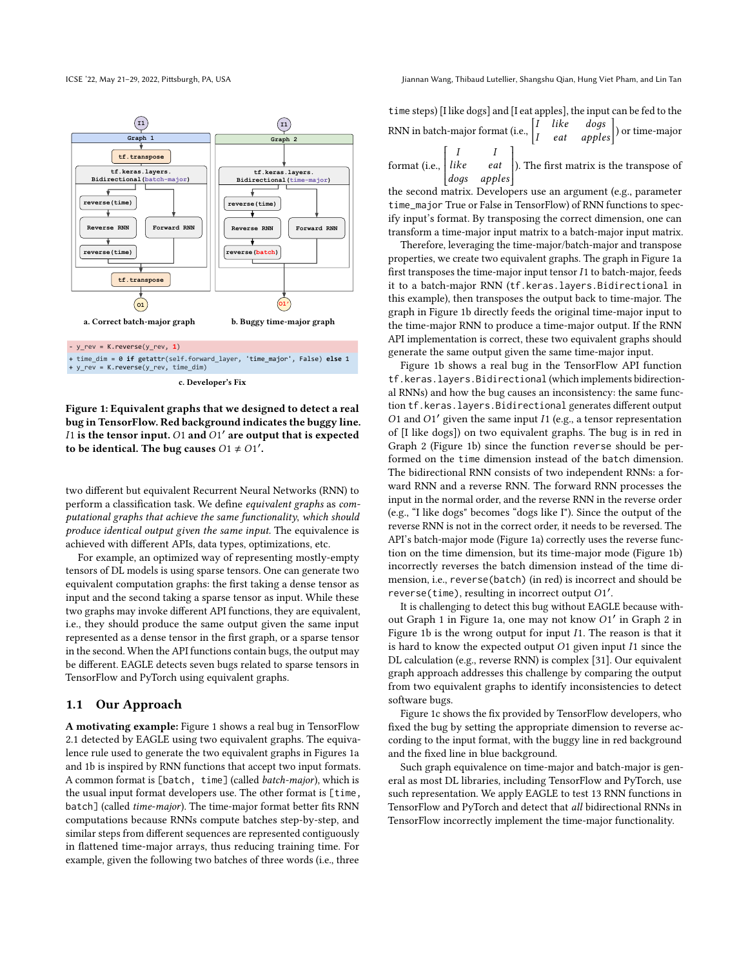<span id="page-1-1"></span><span id="page-1-0"></span>

<span id="page-1-3"></span>**+** time\_dim = 0 **if** getattr(self.forward\_layer, 'time\_major', False) **else** 1 **+** y\_rev = K.reverse(y\_rev, time\_dim)

<span id="page-1-2"></span>c. Developer's Fix

Figure 1: Equivalent graphs that we designed to detect a real bug in TensorFlow. Red background indicates the buggy line.  $I1$  is the tensor input.  $O1$  and  $O1'$  are output that is expected to be identical. The bug causes  $01 \neq 01'$ .

two different but equivalent Recurrent Neural Networks (RNN) to perform a classification task. We define equivalent graphs as computational graphs that achieve the same functionality, which should produce identical output given the same input. The equivalence is achieved with different APIs, data types, optimizations, etc.

For example, an optimized way of representing mostly-empty tensors of DL models is using sparse tensors. One can generate two equivalent computation graphs: the first taking a dense tensor as input and the second taking a sparse tensor as input. While these two graphs may invoke different API functions, they are equivalent, i.e., they should produce the same output given the same input represented as a dense tensor in the first graph, or a sparse tensor in the second. When the API functions contain bugs, the output may be different. EAGLE detects seven bugs related to sparse tensors in TensorFlow and PyTorch using equivalent graphs.

# 1.1 Our Approach

A motivating example: Figure [1](#page-1-0) shows a real bug in TensorFlow 2.1 detected by EAGLE using two equivalent graphs. The equivalence rule used to generate the two equivalent graphs in Figures [1a](#page-1-1) and [1b](#page-1-2) is inspired by RNN functions that accept two input formats. A common format is [batch, time] (called batch-major), which is the usual input format developers use. The other format is [time, batch] (called time-major). The time-major format better fits RNN computations because RNNs compute batches step-by-step, and similar steps from different sequences are represented contiguously in flattened time-major arrays, thus reducing training time. For example, given the following two batches of three words (i.e., three

time steps) [I like dogs] and [I eat apples], the input can be fed to the RNN in batch-major format (i.e., I like dogs<br>I eat apples ) or time-major

format (i.e.,  $\begin{vmatrix} 1 & 1 \\ like & eat \end{vmatrix}$ l  $I \qquad I$ tike eat<br>dogs apples I I ). The first matrix is the transpose of

 the second matrix. Developers use an argument (e.g., parameter time\_major True or False in TensorFlow) of RNN functions to specify input's format. By transposing the correct dimension, one can transform a time-major input matrix to a batch-major input matrix.

Therefore, leveraging the time-major/batch-major and transpose properties, we create two equivalent graphs. The graph in Figure [1a](#page-1-1) first transposes the time-major input tensor  $I1$  to batch-major, feeds it to a batch-major RNN (tf.keras.layers.Bidirectional in this example), then transposes the output back to time-major. The graph in Figure [1b](#page-1-2) directly feeds the original time-major input to the time-major RNN to produce a time-major output. If the RNN API implementation is correct, these two equivalent graphs should generate the same output given the same time-major input.

Figure [1b](#page-1-2) shows a real bug in the TensorFlow API function tf.keras.layers.Bidirectional (which implements bidirectional RNNs) and how the bug causes an inconsistency: the same function tf.keras.layers.Bidirectional generates different output O1 and O1' given the same input I1 (e.g., a tensor representation of [I like dogs]) on two equivalent graphs. The bug is in red in Graph 2 (Figure [1b\)](#page-1-2) since the function reverse should be performed on the time dimension instead of the batch dimension. The bidirectional RNN consists of two independent RNNs: a forward RNN and a reverse RNN. The forward RNN processes the input in the normal order, and the reverse RNN in the reverse order (e.g., "I like dogs" becomes "dogs like I"). Since the output of the reverse RNN is not in the correct order, it needs to be reversed. The API's batch-major mode (Figure [1a\)](#page-1-1) correctly uses the reverse function on the time dimension, but its time-major mode (Figure [1b\)](#page-1-2) incorrectly reverses the batch dimension instead of the time dimension, i.e., reverse(batch) (in red) is incorrect and should be  $reverse$ (time), resulting in incorrect output  $O1'$ .

It is challenging to detect this bug without EAGLE because with-out Graph 1 in Figure [1a,](#page-1-1) one may not know O1' in Graph 2 in Figure [1b](#page-1-2) is the wrong output for input *I*1. The reason is that it is hard to know the expected output  $O1$  given input  $I1$  since the DL calculation (e.g., reverse RNN) is complex [\[31\]](#page-11-1). Our equivalent graph approach addresses this challenge by comparing the output from two equivalent graphs to identify inconsistencies to detect software bugs.

Figure [1c](#page-1-3) shows the fix provided by TensorFlow developers, who fixed the bug by setting the appropriate dimension to reverse according to the input format, with the buggy line in red background and the fixed line in blue background.

Such graph equivalence on time-major and batch-major is general as most DL libraries, including TensorFlow and PyTorch, use such representation. We apply EAGLE to test 13 RNN functions in TensorFlow and PyTorch and detect that all bidirectional RNNs in TensorFlow incorrectly implement the time-major functionality.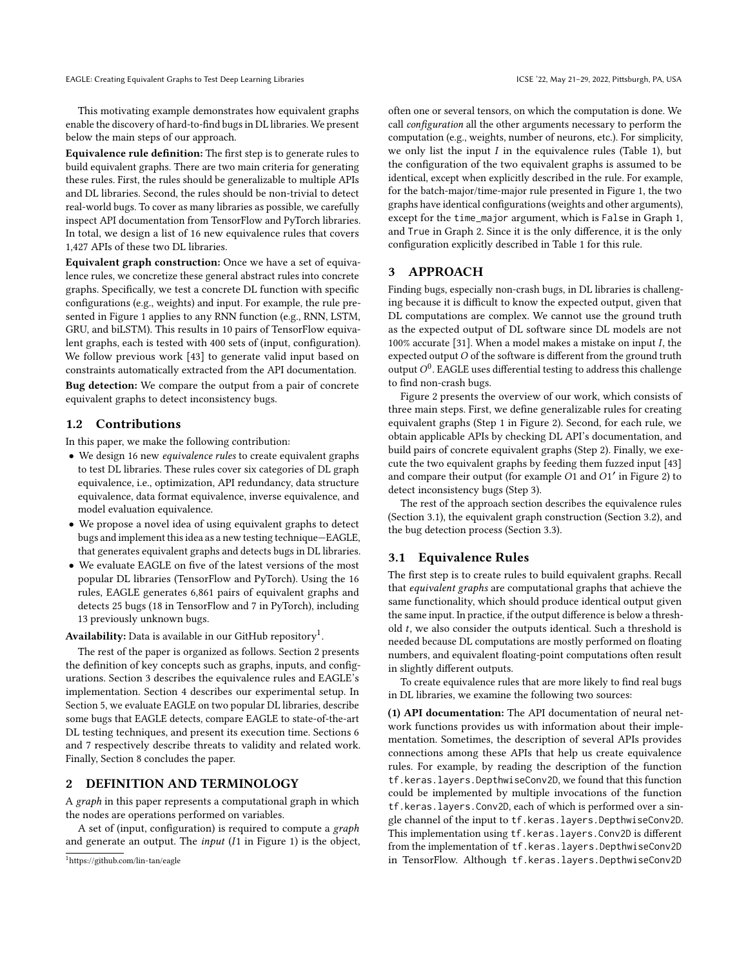This motivating example demonstrates how equivalent graphs enable the discovery of hard-to-find bugs in DL libraries. We present below the main steps of our approach.

Equivalence rule definition: The first step is to generate rules to build equivalent graphs. There are two main criteria for generating these rules. First, the rules should be generalizable to multiple APIs and DL libraries. Second, the rules should be non-trivial to detect real-world bugs. To cover as many libraries as possible, we carefully inspect API documentation from TensorFlow and PyTorch libraries. In total, we design a list of 16 new equivalence rules that covers 1,427 APIs of these two DL libraries.

Equivalent graph construction: Once we have a set of equivalence rules, we concretize these general abstract rules into concrete graphs. Specifically, we test a concrete DL function with specific configurations (e.g., weights) and input. For example, the rule presented in Figure [1](#page-1-0) applies to any RNN function (e.g., RNN, LSTM, GRU, and biLSTM). This results in 10 pairs of TensorFlow equivalent graphs, each is tested with 400 sets of (input, configuration). We follow previous work [\[43\]](#page-11-12) to generate valid input based on constraints automatically extracted from the API documentation.

Bug detection: We compare the output from a pair of concrete equivalent graphs to detect inconsistency bugs.

## 1.2 Contributions

In this paper, we make the following contribution:

- We design 16 new equivalence rules to create equivalent graphs to test DL libraries. These rules cover six categories of DL graph equivalence, i.e., optimization, API redundancy, data structure equivalence, data format equivalence, inverse equivalence, and model evaluation equivalence.
- We propose a novel idea of using equivalent graphs to detect bugs and implement this idea as a new testing technique—EAGLE, that generates equivalent graphs and detects bugs in DL libraries.
- We evaluate EAGLE on five of the latest versions of the most popular DL libraries (TensorFlow and PyTorch). Using the 16 rules, EAGLE generates 6,861 pairs of equivalent graphs and detects 25 bugs (18 in TensorFlow and 7 in PyTorch), including 13 previously unknown bugs.

Availability: Data is available in our GitHub repository $^1.$  $^1.$  $^1.$ 

The rest of the paper is organized as follows. Section [2](#page-2-1) presents the definition of key concepts such as graphs, inputs, and configurations. Section [3](#page-2-2) describes the equivalence rules and EAGLE's implementation. Section [4](#page-6-0) describes our experimental setup. In Section [5,](#page-6-1) we evaluate EAGLE on two popular DL libraries, describe some bugs that EAGLE detects, compare EAGLE to state-of-the-art DL testing techniques, and present its execution time. Sections [6](#page-9-0) and [7](#page-9-1) respectively describe threats to validity and related work. Finally, Section [8](#page-10-0) concludes the paper.

# <span id="page-2-1"></span>2 DEFINITION AND TERMINOLOGY

A graph in this paper represents a computational graph in which the nodes are operations performed on variables.

A set of (input, configuration) is required to compute a graph and generate an output. The *input*  $(I1$  in Figure [1\)](#page-1-0) is the object, often one or several tensors, on which the computation is done. We call configuration all the other arguments necessary to perform the computation (e.g., weights, number of neurons, etc.). For simplicity, we only list the input  $I$  in the equivalence rules (Table [1\)](#page-4-0), but the configuration of the two equivalent graphs is assumed to be identical, except when explicitly described in the rule. For example, for the batch-major/time-major rule presented in Figure [1,](#page-1-0) the two graphs have identical configurations (weights and other arguments), except for the time\_major argument, which is False in Graph 1, and True in Graph 2. Since it is the only difference, it is the only configuration explicitly described in Table [1](#page-4-0) for this rule.

# <span id="page-2-2"></span>3 APPROACH

Finding bugs, especially non-crash bugs, in DL libraries is challenging because it is difficult to know the expected output, given that DL computations are complex. We cannot use the ground truth as the expected output of DL software since DL models are not 100% accurate [\[31\]](#page-11-1). When a model makes a mistake on input  $I$ , the expected output  $O$  of the software is different from the ground truth output  $O^0$ . EAGLE uses differential testing to address this challenge to find non-crash bugs.

Figure [2](#page-3-0) presents the overview of our work, which consists of three main steps. First, we define generalizable rules for creating equivalent graphs (Step 1 in Figure [2\)](#page-3-0). Second, for each rule, we obtain applicable APIs by checking DL API's documentation, and build pairs of concrete equivalent graphs (Step 2). Finally, we execute the two equivalent graphs by feeding them fuzzed input [\[43\]](#page-11-12) and compare their output (for example  $O1$  and  $O1'$  in Figure [2\)](#page-3-0) to detect inconsistency bugs (Step 3).

The rest of the approach section describes the equivalence rules (Section [3.1\)](#page-2-3), the equivalent graph construction (Section [3.2\)](#page-5-0), and the bug detection process (Section [3.3\)](#page-5-1).

#### <span id="page-2-3"></span>3.1 Equivalence Rules

The first step is to create rules to build equivalent graphs. Recall that equivalent graphs are computational graphs that achieve the same functionality, which should produce identical output given the same input. In practice, if the output difference is below a threshold  $t$ , we also consider the outputs identical. Such a threshold is needed because DL computations are mostly performed on floating numbers, and equivalent floating-point computations often result in slightly different outputs.

To create equivalence rules that are more likely to find real bugs in DL libraries, we examine the following two sources:

(1) API documentation: The API documentation of neural network functions provides us with information about their implementation. Sometimes, the description of several APIs provides connections among these APIs that help us create equivalence rules. For example, by reading the description of the function tf.keras.layers.DepthwiseConv2D, we found that this function could be implemented by multiple invocations of the function tf.keras.layers.Conv2D, each of which is performed over a single channel of the input to tf.keras.layers.DepthwiseConv2D. This implementation using tf.keras.layers.Conv2D is different from the implementation of tf.keras.layers.DepthwiseConv2D in TensorFlow. Although tf.keras.layers.DepthwiseConv2D

<span id="page-2-0"></span><sup>1</sup><https://github.com/lin-tan/eagle>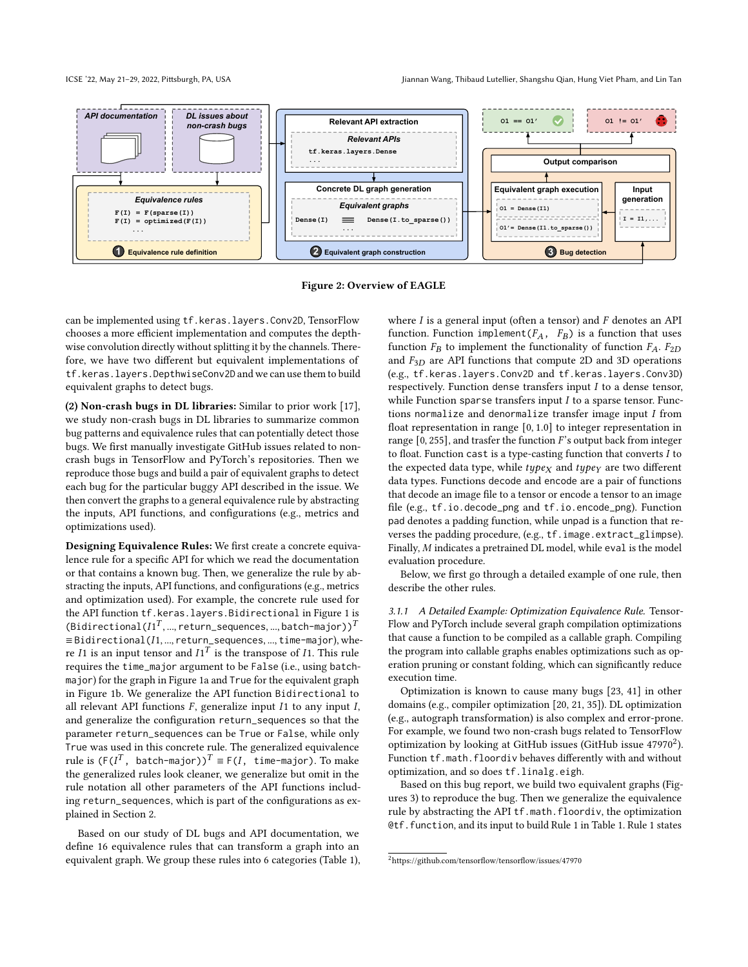<span id="page-3-0"></span>



can be implemented using tf.keras.layers.Conv2D, TensorFlow chooses a more efficient implementation and computes the depthwise convolution directly without splitting it by the channels. Therefore, we have two different but equivalent implementations of tf.keras.layers.DepthwiseConv2D and we can use them to build equivalent graphs to detect bugs.

(2) Non-crash bugs in DL libraries: Similar to prior work [\[17\]](#page-11-18), we study non-crash bugs in DL libraries to summarize common bug patterns and equivalence rules that can potentially detect those bugs. We first manually investigate GitHub issues related to noncrash bugs in TensorFlow and PyTorch's repositories. Then we reproduce those bugs and build a pair of equivalent graphs to detect each bug for the particular buggy API described in the issue. We then convert the graphs to a general equivalence rule by abstracting the inputs, API functions, and configurations (e.g., metrics and optimizations used).

Designing Equivalence Rules: We first create a concrete equivalence rule for a specific API for which we read the documentation or that contains a known bug. Then, we generalize the rule by abstracting the inputs, API functions, and configurations (e.g., metrics and optimization used). For example, the concrete rule used for the API function tf.keras.layers.Bidirectional in Figure [1](#page-1-0) is  $(Bidirectional (I1<sup>T</sup>, ..., return\_sequences, ..., batch-major))<sup>T</sup>$ ≡ Bidirectional(1, ..., return\_sequences, ..., time-major), where *I*1 is an input tensor and  $I1^T$  is the transpose of *I*1. This rule requires the time\_major argument to be False (i.e., using batchmajor) for the graph in Figure [1a](#page-1-1) and True for the equivalent graph in Figure [1b.](#page-1-2) We generalize the API function Bidirectional to all relevant API functions  $F$ , generalize input  $I$ 1 to any input  $I$ , and generalize the configuration return\_sequences so that the parameter return\_sequences can be True or False, while only True was used in this concrete rule. The generalized equivalence rule is (F( $I^T$ , batch-major)) $T \equiv F(I,$  time-major). To make the generalized rules look cleaner, we generalize but omit in the rule notation all other parameters of the API functions including return\_sequences, which is part of the configurations as explained in Section [2.](#page-2-1)

Based on our study of DL bugs and API documentation, we define 16 equivalence rules that can transform a graph into an equivalent graph. We group these rules into 6 categories (Table [1\)](#page-4-0),

where  $I$  is a general input (often a tensor) and  $F$  denotes an API function. Function implement( $F_A$ ,  $F_B$ ) is a function that uses function  $F_B$  to implement the functionality of function  $F_A$ .  $F_{2D}$ and  $F_{3D}$  are API functions that compute 2D and 3D operations (e.g., tf.keras.layers.Conv2D and tf.keras.layers.Conv3D) respectively. Function dense transfers input  $I$  to a dense tensor, while Function sparse transfers input  $I$  to a sparse tensor. Functions normalize and denormalize transfer image input  $I$  from float representation in range [0, 1.0] to integer representation in range  $[0, 255]$ , and trasfer the function  $F$ 's output back from integer to float. Function cast is a type-casting function that converts  $I$  to the expected data type, while  $t\psi p e_X$  and  $t\psi p e_Y$  are two different data types. Functions decode and encode are a pair of functions that decode an image file to a tensor or encode a tensor to an image file (e.g., tf.io.decode\_png and tf.io.encode\_png). Function pad denotes a padding function, while unpad is a function that reverses the padding procedure, (e.g., tf.image.extract\_glimpse). Finally,  $M$  indicates a pretrained DL model, while eval is the model evaluation procedure.

Below, we first go through a detailed example of one rule, then describe the other rules.

3.1.1 A Detailed Example: Optimization Equivalence Rule. Tensor-Flow and PyTorch include several graph compilation optimizations that cause a function to be compiled as a callable graph. Compiling the program into callable graphs enables optimizations such as operation pruning or constant folding, which can significantly reduce execution time.

Optimization is known to cause many bugs [\[23,](#page-11-19) [41\]](#page-11-20) in other domains (e.g., compiler optimization [\[20,](#page-11-21) [21,](#page-11-22) [35\]](#page-11-23)). DL optimization (e.g., autograph transformation) is also complex and error-prone. For example, we found two non-crash bugs related to TensorFlow optimization by looking at GitHub issues (GitHub issue 47970<sup>[2](#page-3-1)</sup>). Function  $tf$ .math.floordiv behaves differently with and without optimization, and so does tf.linalg.eigh.

Based on this bug report, we build two equivalent graphs (Figures [3\)](#page-4-1) to reproduce the bug. Then we generalize the equivalence rule by abstracting the API tf.math.floordiv, the optimization @tf.function, and its input to build Rule 1 in Table [1.](#page-4-0) Rule 1 states

<span id="page-3-1"></span><sup>2</sup><https://github.com/tensorflow/tensorflow/issues/47970>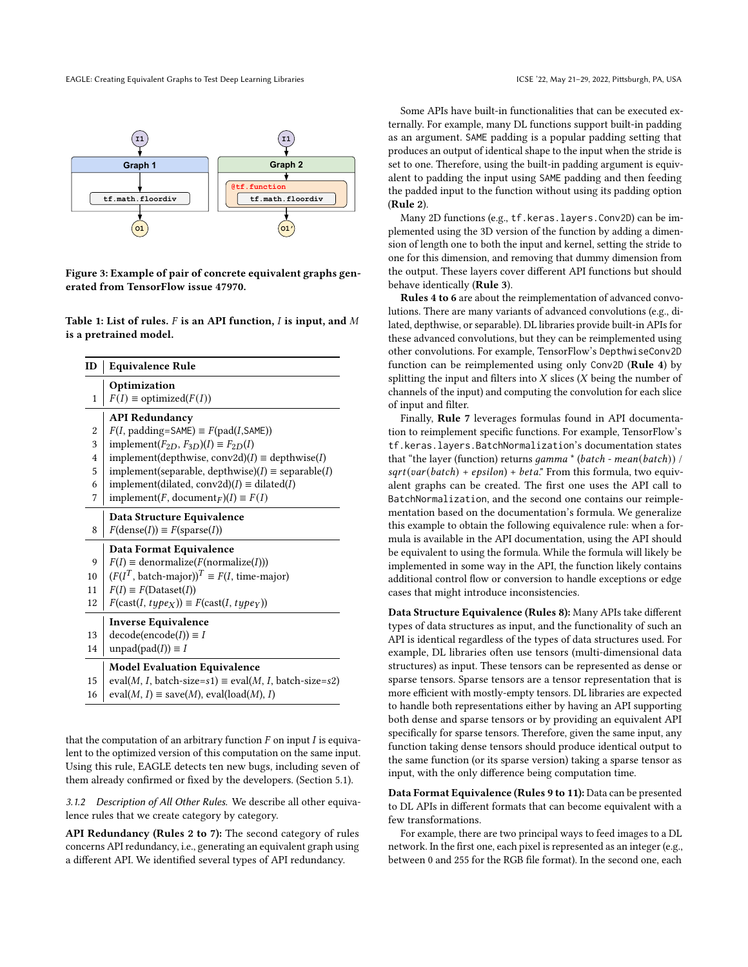<span id="page-4-1"></span>

Figure 3: Example of pair of concrete equivalent graphs generated from TensorFlow issue 47970.

<span id="page-4-0"></span>Table 1: List of rules.  $F$  is an API function,  $I$  is input, and  $M$ is a pretrained model.

| ID             | <b>Equivalence Rule</b>                                           |  |  |  |
|----------------|-------------------------------------------------------------------|--|--|--|
|                | Optimization                                                      |  |  |  |
| 1              | $F(I) \equiv$ optimized( $F(I)$ )                                 |  |  |  |
|                | <b>API Redundancy</b>                                             |  |  |  |
| $\overline{2}$ | $F(I, padding=SAME) \equiv F(pad(I,SAME))$                        |  |  |  |
| 3              | implement( $F_{2D}$ , $F_{3D}$ )(I) $\equiv F_{2D}(I)$            |  |  |  |
| 4              | implement(depthwise, conv2d)( $I$ ) = depthwise( $I$ )            |  |  |  |
| 5              | implement(separable, depthwise) $(I) \equiv$ separable $(I)$      |  |  |  |
| 6              | implement(dilated, conv2d)(I) $\equiv$ dilated(I)                 |  |  |  |
| 7              | implement(F, document <sub>F</sub> )(I) $\equiv$ F(I)             |  |  |  |
|                | Data Structure Equivalence                                        |  |  |  |
| 8              | $F(dense(I)) \equiv F(sparse(I))$                                 |  |  |  |
|                | Data Format Equivalence                                           |  |  |  |
| 9              | $F(I) \equiv$ denormalize( $F($ normalize( $I$ )))                |  |  |  |
| 10             | $(F(I^T, \text{ batch-major}))^T \equiv F(I, \text{ time-major})$ |  |  |  |
| 11             | $F(I) \equiv F(Dataset(I))$                                       |  |  |  |
| 12             | $F(cast(I, type_X)) \equiv F(cast(I, type_Y))$                    |  |  |  |
|                | <b>Inverse Equivalence</b>                                        |  |  |  |
| 13             | $decode(encode(I)) \equiv I$                                      |  |  |  |
| 14             | $unpad(pad(I)) \equiv I$                                          |  |  |  |
|                | <b>Model Evaluation Equivalence</b>                               |  |  |  |
| 15             | $eval(M, I, batch-size=s1) \equiv eval(M, I, batch-size=s2)$      |  |  |  |
| 16             | $eval(M, I) \equiv save(M)$ , $evalload(M), I)$                   |  |  |  |

that the computation of an arbitrary function  $F$  on input  $I$  is equivalent to the optimized version of this computation on the same input. Using this rule, EAGLE detects ten new bugs, including seven of them already confirmed or fixed by the developers. (Section [5.1\)](#page-6-2).

3.1.2 Description of All Other Rules. We describe all other equivalence rules that we create category by category.

API Redundancy (Rules 2 to 7): The second category of rules concerns API redundancy, i.e., generating an equivalent graph using a different API. We identified several types of API redundancy.

ternally. For example, many DL functions support built-in padding as an argument. SAME padding is a popular padding setting that set to one. Therefore, using the built-in padding argument is equivalent to padding the input using SAME padding and then feeding the padded input to the function without using its padding option Some APIs have built-in functionalities that can be executed exproduces an output of identical shape to the input when the stride is (Rule 2).

Many 2D functions (e.g., tf.keras.layers.Conv2D) can be imsion of length one to both the input and kernel, setting the stride to one for this dimension, and removing that dummy dimension from plemented using the 3D version of the function by adding a dimenthe output. These layers cover different API functions but should behave identically (Rule 3).

Rules 4 to 6 are about the reimplementation of advanced convolutions. There are many variants of advanced convolutions (e.g., dilated, depthwise, or separable). DL libraries provide built-in APIs for these advanced convolutions, but they can be reimplemented using other convolutions. For example, TensorFlow's DepthwiseConv2D function can be reimplemented using only Conv2D (Rule 4) by splitting the input and filters into  $X$  slices  $(X$  being the number of channels of the input) and computing the convolution for each slice of input and filter.

Finally, Rule 7 leverages formulas found in API documentation to reimplement specific functions. For example, TensorFlow's tf.keras.layers.BatchNormalization's documentation states that "the layer (function) returns  $gamma * (batch - mean(batch))$  /  $sqrt{(\mathit{part}(\mathit{barch}) + \mathit{epsilon}) + \mathit{beta}}$ . From this formula, two equivalent graphs can be created. The first one uses the API call to BatchNormalization, and the second one contains our reimplementation based on the documentation's formula. We generalize this example to obtain the following equivalence rule: when a formula is available in the API documentation, using the API should be equivalent to using the formula. While the formula will likely be implemented in some way in the API, the function likely contains additional control flow or conversion to handle exceptions or edge cases that might introduce inconsistencies.

Data Structure Equivalence (Rules 8): Many APIs take different types of data structures as input, and the functionality of such an API is identical regardless of the types of data structures used. For example, DL libraries often use tensors (multi-dimensional data structures) as input. These tensors can be represented as dense or sparse tensors. Sparse tensors are a tensor representation that is more efficient with mostly-empty tensors. DL libraries are expected to handle both representations either by having an API supporting both dense and sparse tensors or by providing an equivalent API specifically for sparse tensors. Therefore, given the same input, any function taking dense tensors should produce identical output to the same function (or its sparse version) taking a sparse tensor as input, with the only difference being computation time.

Data Format Equivalence (Rules 9 to 11): Data can be presented to DL APIs in different formats that can become equivalent with a few transformations.

For example, there are two principal ways to feed images to a DL network. In the first one, each pixel is represented as an integer (e.g., between 0 and 255 for the RGB file format). In the second one, each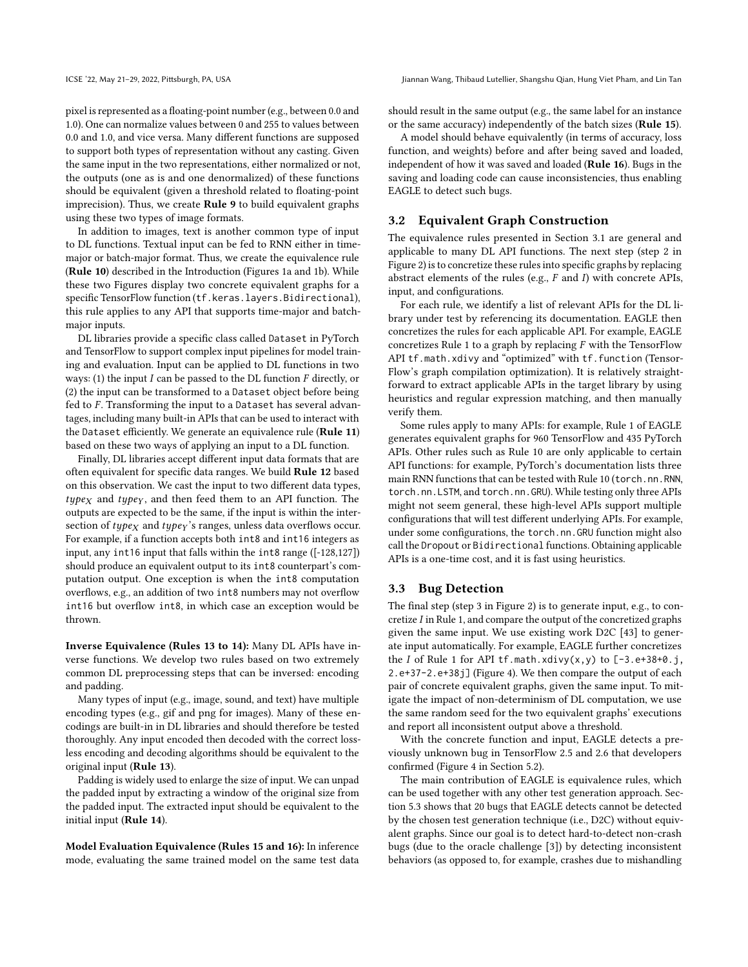pixel is represented as a floating-point number (e.g., between 0.0 and 1.0). One can normalize values between 0 and 255 to values between 0.0 and 1.0, and vice versa. Many different functions are supposed to support both types of representation without any casting. Given the same input in the two representations, either normalized or not, the outputs (one as is and one denormalized) of these functions should be equivalent (given a threshold related to floating-point imprecision). Thus, we create Rule 9 to build equivalent graphs using these two types of image formats.

In addition to images, text is another common type of input to DL functions. Textual input can be fed to RNN either in timemajor or batch-major format. Thus, we create the equivalence rule (Rule 10) described in the Introduction (Figures [1a](#page-1-1) and [1b\)](#page-1-2). While these two Figures display two concrete equivalent graphs for a specific TensorFlow function (tf.keras.layers.Bidirectional), this rule applies to any API that supports time-major and batchmajor inputs.

DL libraries provide a specific class called Dataset in PyTorch and TensorFlow to support complex input pipelines for model training and evaluation. Input can be applied to DL functions in two ways: (1) the input  $I$  can be passed to the DL function  $F$  directly, or (2) the input can be transformed to a Dataset object before being fed to  $F$ . Transforming the input to a Dataset has several advantages, including many built-in APIs that can be used to interact with the Dataset efficiently. We generate an equivalence rule (Rule 11) based on these two ways of applying an input to a DL function.

Finally, DL libraries accept different input data formats that are often equivalent for specific data ranges. We build Rule 12 based on this observation. We cast the input to two different data types,  $type<sub>X</sub>$  and  $type<sub>Y</sub>$ , and then feed them to an API function. The outputs are expected to be the same, if the input is within the intersection of  $type_X$  and  $type_Y$ 's ranges, unless data overflows occur. For example, if a function accepts both int8 and int16 integers as input, any int16 input that falls within the int8 range ([-128,127]) should produce an equivalent output to its int8 counterpart's computation output. One exception is when the int8 computation overflows, e.g., an addition of two int8 numbers may not overflow int16 but overflow int8, in which case an exception would be thrown.

Inverse Equivalence (Rules 13 to 14): Many DL APIs have inverse functions. We develop two rules based on two extremely common DL preprocessing steps that can be inversed: encoding and padding.

Many types of input (e.g., image, sound, and text) have multiple encoding types (e.g., gif and png for images). Many of these encodings are built-in in DL libraries and should therefore be tested thoroughly. Any input encoded then decoded with the correct lossless encoding and decoding algorithms should be equivalent to the original input (Rule 13).

Padding is widely used to enlarge the size of input. We can unpad the padded input by extracting a window of the original size from the padded input. The extracted input should be equivalent to the initial input (Rule 14).

Model Evaluation Equivalence (Rules 15 and 16): In inference mode, evaluating the same trained model on the same test data should result in the same output (e.g., the same label for an instance or the same accuracy) independently of the batch sizes (Rule 15).

A model should behave equivalently (in terms of accuracy, loss function, and weights) before and after being saved and loaded, independent of how it was saved and loaded (Rule 16). Bugs in the saving and loading code can cause inconsistencies, thus enabling EAGLE to detect such bugs.

# <span id="page-5-0"></span>3.2 Equivalent Graph Construction

The equivalence rules presented in Section [3.1](#page-2-3) are general and applicable to many DL API functions. The next step (step 2 in Figure [2\)](#page-3-0) is to concretize these rules into specific graphs by replacing abstract elements of the rules (e.g.,  $F$  and  $I$ ) with concrete APIs, input, and configurations.

For each rule, we identify a list of relevant APIs for the DL library under test by referencing its documentation. EAGLE then concretizes the rules for each applicable API. For example, EAGLE concretizes Rule 1 to a graph by replacing  $F$  with the TensorFlow API tf.math.xdivy and "optimized" with tf.function (Tensor-Flow's graph compilation optimization). It is relatively straightforward to extract applicable APIs in the target library by using heuristics and regular expression matching, and then manually verify them.

Some rules apply to many APIs: for example, Rule 1 of EAGLE generates equivalent graphs for 960 TensorFlow and 435 PyTorch APIs. Other rules such as Rule 10 are only applicable to certain API functions: for example, PyTorch's documentation lists three main RNN functions that can be tested with Rule 10 (torch.nn.RNN, torch.nn.LSTM, and torch.nn.GRU). While testing only three APIs might not seem general, these high-level APIs support multiple configurations that will test different underlying APIs. For example, under some configurations, the torch.nn.GRU function might also call the Dropout or Bidirectional functions. Obtaining applicable APIs is a one-time cost, and it is fast using heuristics.

#### <span id="page-5-1"></span>3.3 Bug Detection

The final step (step 3 in Figure [2\)](#page-3-0) is to generate input, e.g., to concretize  $I$  in Rule 1, and compare the output of the concretized graphs given the same input. We use existing work D2C [\[43\]](#page-11-12) to generate input automatically. For example, EAGLE further concretizes the  $I$  of Rule 1 for API tf.math.xdivy(x,y) to  $[-3. e+38+0. j,$ 2.e+37-2.e+38j] (Figure [4\)](#page-7-0). We then compare the output of each pair of concrete equivalent graphs, given the same input. To mitigate the impact of non-determinism of DL computation, we use the same random seed for the two equivalent graphs' executions and report all inconsistent output above a threshold.

With the concrete function and input, EAGLE detects a previously unknown bug in TensorFlow 2.5 and 2.6 that developers confirmed (Figure [4](#page-7-0) in Section [5.2\)](#page-7-1).

The main contribution of EAGLE is equivalence rules, which can be used together with any other test generation approach. Section [5.3](#page-8-0) shows that 20 bugs that EAGLE detects cannot be detected by the chosen test generation technique (i.e., D2C) without equivalent graphs. Since our goal is to detect hard-to-detect non-crash bugs (due to the oracle challenge [\[3\]](#page-11-24)) by detecting inconsistent behaviors (as opposed to, for example, crashes due to mishandling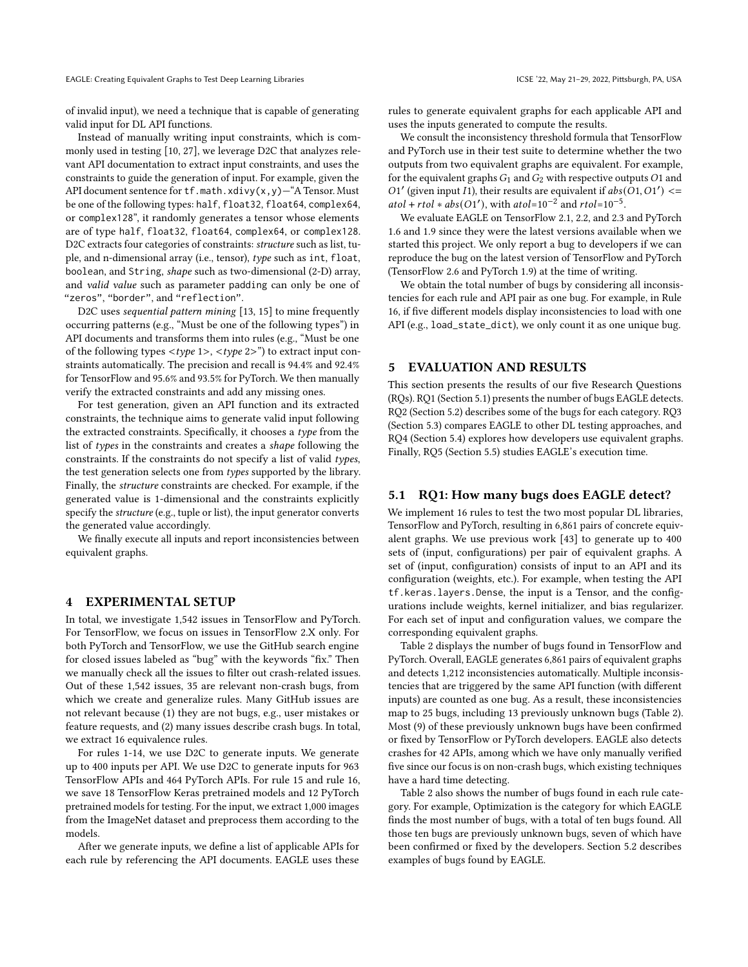EAGLE: Creating Equivalent Graphs to Test Deep Learning Libraries ICSE '22, May 21-29, 2022, Pittsburgh, PA, USA

of invalid input), we need a technique that is capable of generating valid input for DL API functions.

Instead of manually writing input constraints, which is commonly used in testing [\[10,](#page-11-25) [27\]](#page-11-26), we leverage D2C that analyzes relevant API documentation to extract input constraints, and uses the constraints to guide the generation of input. For example, given the API document sentence for  $tf$ .math.xdivy(x,y)-"A Tensor. Must be one of the following types: half, float32, float64, complex64, or complex128", it randomly generates a tensor whose elements are of type half, float32, float64, complex64, or complex128. D2C extracts four categories of constraints: structure such as list, tuple, and n-dimensional array (i.e., tensor), type such as int, float, boolean, and String, shape such as two-dimensional (2-D) array, and valid value such as parameter padding can only be one of "zeros", "border", and "reflection".

D2C uses sequential pattern mining [\[13,](#page-11-27) [15\]](#page-11-28) to mine frequently occurring patterns (e.g., "Must be one of the following types") in API documents and transforms them into rules (e.g., "Must be one of the following types  $lt type$  1>,  $lt type$  2>") to extract input constraints automatically. The precision and recall is 94.4% and 92.4% for TensorFlow and 95.6% and 93.5% for PyTorch. We then manually verify the extracted constraints and add any missing ones.

For test generation, given an API function and its extracted constraints, the technique aims to generate valid input following the extracted constraints. Specifically, it chooses a  $type$  from the list of types in the constraints and creates a shape following the constraints. If the constraints do not specify a list of valid types, the test generation selects one from types supported by the library. Finally, the structure constraints are checked. For example, if the generated value is 1-dimensional and the constraints explicitly specify the structure (e.g., tuple or list), the input generator converts the generated value accordingly.

We finally execute all inputs and report inconsistencies between equivalent graphs.

## <span id="page-6-0"></span>4 EXPERIMENTAL SETUP

In total, we investigate 1,542 issues in TensorFlow and PyTorch. For TensorFlow, we focus on issues in TensorFlow 2.X only. For both PyTorch and TensorFlow, we use the GitHub search engine for closed issues labeled as "bug" with the keywords "fix." Then we manually check all the issues to filter out crash-related issues. Out of these 1,542 issues, 35 are relevant non-crash bugs, from which we create and generalize rules. Many GitHub issues are not relevant because (1) they are not bugs, e.g., user mistakes or feature requests, and (2) many issues describe crash bugs. In total, we extract 16 equivalence rules.

For rules 1-14, we use D2C to generate inputs. We generate up to 400 inputs per API. We use D2C to generate inputs for 963 TensorFlow APIs and 464 PyTorch APIs. For rule 15 and rule 16, we save 18 TensorFlow Keras pretrained models and 12 PyTorch pretrained models for testing. For the input, we extract 1,000 images from the ImageNet dataset and preprocess them according to the models.

After we generate inputs, we define a list of applicable APIs for each rule by referencing the API documents. EAGLE uses these rules to generate equivalent graphs for each applicable API and uses the inputs generated to compute the results.

We consult the inconsistency threshold formula that TensorFlow and PyTorch use in their test suite to determine whether the two outputs from two equivalent graphs are equivalent. For example, for the equivalent graphs  $G_1$  and  $G_2$  with respective outputs O1 and O1' (given input I1), their results are equivalent if  $abs(O1, O1')$  <=  $atol + rtol * abs(O1'),$  with  $atol = 10^{-2}$  and  $rtol = 10^{-5}$ .

We evaluate EAGLE on TensorFlow 2.1, 2.2, and 2.3 and PyTorch 1.6 and 1.9 since they were the latest versions available when we started this project. We only report a bug to developers if we can reproduce the bug on the latest version of TensorFlow and PyTorch (TensorFlow 2.6 and PyTorch 1.9) at the time of writing.

We obtain the total number of bugs by considering all inconsistencies for each rule and API pair as one bug. For example, in Rule 16, if five different models display inconsistencies to load with one API (e.g., load\_state\_dict), we only count it as one unique bug.

#### <span id="page-6-1"></span>5 EVALUATION AND RESULTS

This section presents the results of our five Research Questions (RQs). RQ1 (Section [5.1\)](#page-6-2) presents the number of bugs EAGLE detects. RQ2 (Section [5.2\)](#page-7-1) describes some of the bugs for each category. RQ3 (Section [5.3\)](#page-8-0) compares EAGLE to other DL testing approaches, and RQ4 (Section [5.4\)](#page-9-2) explores how developers use equivalent graphs. Finally, RQ5 (Section [5.5\)](#page-9-3) studies EAGLE's execution time.

#### <span id="page-6-2"></span>5.1 RQ1: How many bugs does EAGLE detect?

We implement 16 rules to test the two most popular DL libraries, TensorFlow and PyTorch, resulting in 6,861 pairs of concrete equivalent graphs. We use previous work [\[43\]](#page-11-12) to generate up to 400 sets of (input, configurations) per pair of equivalent graphs. A set of (input, configuration) consists of input to an API and its configuration (weights, etc.). For example, when testing the API tf.keras.layers.Dense, the input is a Tensor, and the configurations include weights, kernel initializer, and bias regularizer. For each set of input and configuration values, we compare the corresponding equivalent graphs.

Table [2](#page-7-2) displays the number of bugs found in TensorFlow and PyTorch. Overall, EAGLE generates 6,861 pairs of equivalent graphs and detects 1,212 inconsistencies automatically. Multiple inconsistencies that are triggered by the same API function (with different inputs) are counted as one bug. As a result, these inconsistencies map to 25 bugs, including 13 previously unknown bugs (Table [2\)](#page-7-2). Most (9) of these previously unknown bugs have been confirmed or fixed by TensorFlow or PyTorch developers. EAGLE also detects crashes for 42 APIs, among which we have only manually verified five since our focus is on non-crash bugs, which existing techniques have a hard time detecting.

Table [2](#page-7-2) also shows the number of bugs found in each rule category. For example, Optimization is the category for which EAGLE finds the most number of bugs, with a total of ten bugs found. All those ten bugs are previously unknown bugs, seven of which have been confirmed or fixed by the developers. Section [5.2](#page-7-1) describes examples of bugs found by EAGLE.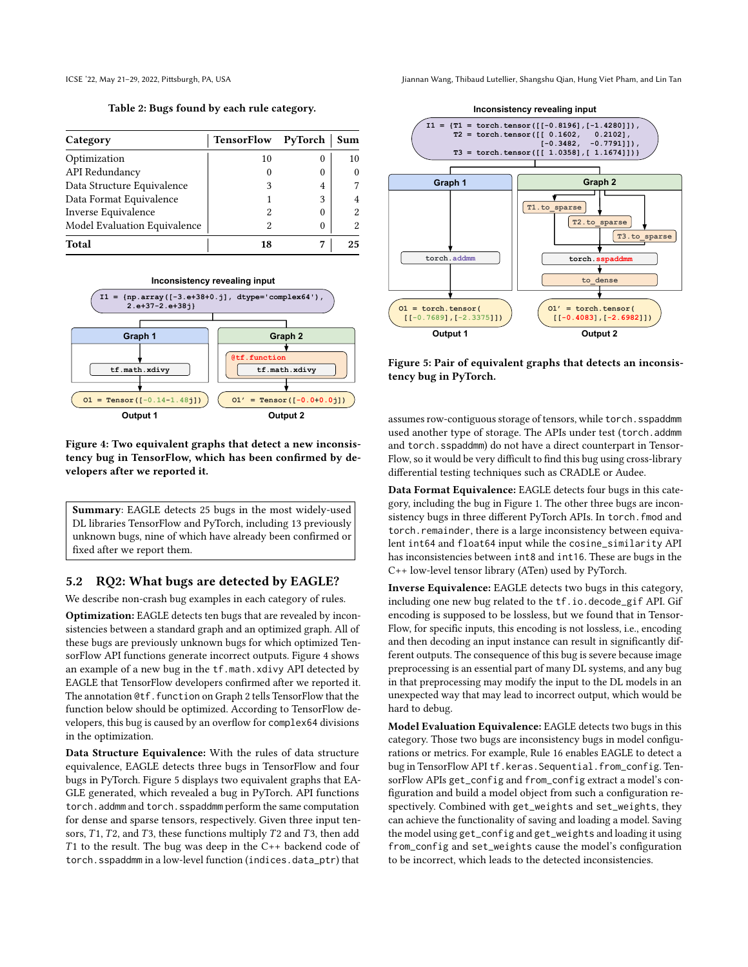<span id="page-7-2"></span>

ICSE '22, May 21-29, 2022, Pittsburgh, PA, USA Jiannan Wang, Thibaud Lutellier, Shangshu Qian, Hung Viet Pham, and Lin Tan

Table 2: Bugs found by each rule category.

| Category                     | TensorFlow PyTorch |   | Sum |
|------------------------------|--------------------|---|-----|
| Optimization                 | 10                 | 0 | 10  |
| API Redundancy               |                    |   |     |
| Data Structure Equivalence   |                    |   | 7   |
| Data Format Equivalence      |                    | 3 |     |
| Inverse Equivalence          |                    |   | 2   |
| Model Evaluation Equivalence |                    |   | 2   |
| Total                        | 18                 |   | 25  |

<span id="page-7-0"></span>

Figure 4: Two equivalent graphs that detect a new inconsistency bug in TensorFlow, which has been confirmed by developers after we reported it.

Summary: EAGLE detects 25 bugs in the most widely-used DL libraries TensorFlow and PyTorch, including 13 previously unknown bugs, nine of which have already been confirmed or fixed after we report them.

# <span id="page-7-1"></span>5.2 RQ2: What bugs are detected by EAGLE?

We describe non-crash bug examples in each category of rules.

Optimization: EAGLE detects ten bugs that are revealed by inconsistencies between a standard graph and an optimized graph. All of these bugs are previously unknown bugs for which optimized TensorFlow API functions generate incorrect outputs. Figure [4](#page-7-0) shows an example of a new bug in the tf.math.xdivy API detected by EAGLE that TensorFlow developers confirmed after we reported it. The annotation @tf.function on Graph 2 tells TensorFlow that the function below should be optimized. According to TensorFlow developers, this bug is caused by an overflow for complex64 divisions in the optimization.

Data Structure Equivalence: With the rules of data structure equivalence, EAGLE detects three bugs in TensorFlow and four bugs in PyTorch. Figure [5](#page-7-3) displays two equivalent graphs that EA-GLE generated, which revealed a bug in PyTorch. API functions torch.addmm and torch.sspaddmm perform the same computation for dense and sparse tensors, respectively. Given three input tensors,  $T1$ ,  $T2$ , and  $T3$ , these functions multiply  $T2$  and  $T3$ , then add  $T1$  to the result. The bug was deep in the C++ backend code of torch.sspaddmm in a low-level function (indices.data\_ptr) that

<span id="page-7-3"></span>

Figure 5: Pair of equivalent graphs that detects an inconsis**o1 = tf.math.xdivy(x, y) o2 = xdivy\_optimized(x, y)** tency bug in PyTorch.

**Tensor([-0.14-1.48j]) Tensor([-0.0+0.0j])** assumes row-contiguous storage of tensors, while torch.sspaddmm used another type of storage. The APIs under test (torch.addmm and torch.sspaddmm) do not have a direct counterpart in Tensor-Flow, so it would be very difficult to find this bug using cross-library differential testing techniques such as CRADLE or Audee.

Data Format Equivalence: EAGLE detects four bugs in this category, including the bug in Figure [1.](#page-1-0) The other three bugs are inconsistency bugs in three different PyTorch APIs. In torch.fmod and torch.remainder, there is a large inconsistency between equivalent int64 and float64 input while the cosine\_similarity API has inconsistencies between int8 and int16. These are bugs in the C++ low-level tensor library (ATen) used by PyTorch.

Inverse Equivalence: EAGLE detects two bugs in this category, including one new bug related to the tf.io.decode\_gif API. Gif encoding is supposed to be lossless, but we found that in Tensor-Flow, for specific inputs, this encoding is not lossless, i.e., encoding and then decoding an input instance can result in significantly different outputs. The consequence of this bug is severe because image preprocessing is an essential part of many DL systems, and any bug in that preprocessing may modify the input to the DL models in an unexpected way that may lead to incorrect output, which would be hard to debug.

Model Evaluation Equivalence: EAGLE detects two bugs in this category. Those two bugs are inconsistency bugs in model configurations or metrics. For example, Rule 16 enables EAGLE to detect a bug in TensorFlow API tf.keras. Sequential.from\_config.TensorFlow APIs get\_config and from\_config extract a model's configuration and build a model object from such a configuration respectively. Combined with get\_weights and set\_weights, they can achieve the functionality of saving and loading a model. Saving the model using get\_config and get\_weights and loading it using from\_config and set\_weights cause the model's configuration to be incorrect, which leads to the detected inconsistencies.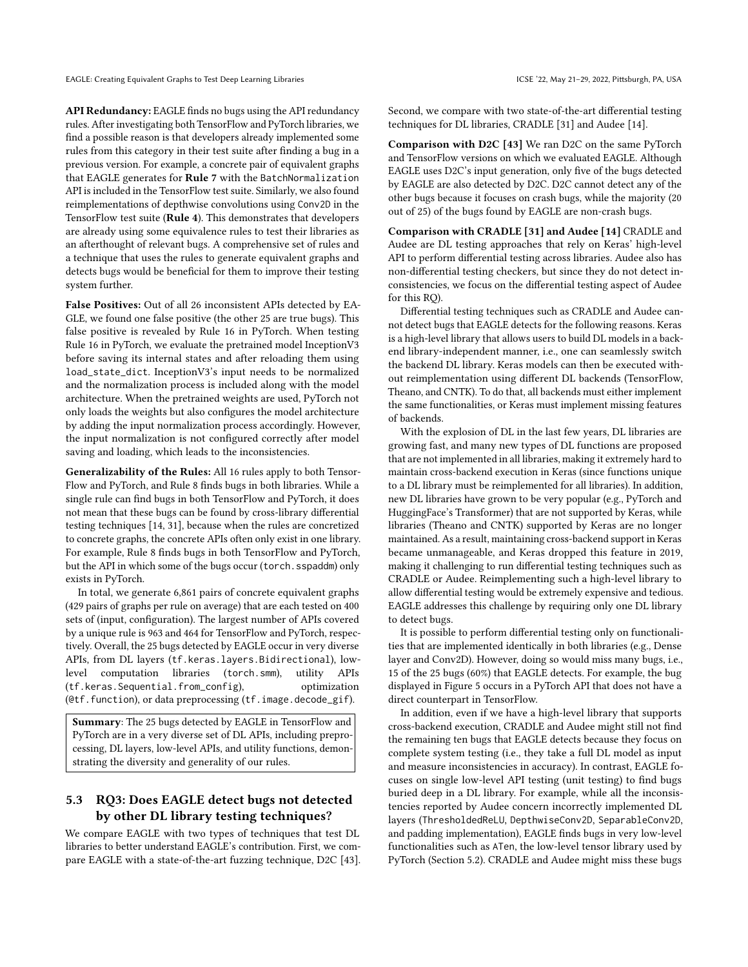API Redundancy: EAGLE finds no bugs using the API redundancy rules. After investigating both TensorFlow and PyTorch libraries, we find a possible reason is that developers already implemented some rules from this category in their test suite after finding a bug in a previous version. For example, a concrete pair of equivalent graphs that EAGLE generates for Rule 7 with the BatchNormalization API is included in the TensorFlow test suite. Similarly, we also found reimplementations of depthwise convolutions using Conv2D in the TensorFlow test suite (Rule 4). This demonstrates that developers are already using some equivalence rules to test their libraries as an afterthought of relevant bugs. A comprehensive set of rules and a technique that uses the rules to generate equivalent graphs and detects bugs would be beneficial for them to improve their testing system further.

False Positives: Out of all 26 inconsistent APIs detected by EA-GLE, we found one false positive (the other 25 are true bugs). This false positive is revealed by Rule 16 in PyTorch. When testing Rule 16 in PyTorch, we evaluate the pretrained model InceptionV3 before saving its internal states and after reloading them using load\_state\_dict. InceptionV3's input needs to be normalized and the normalization process is included along with the model architecture. When the pretrained weights are used, PyTorch not only loads the weights but also configures the model architecture by adding the input normalization process accordingly. However, the input normalization is not configured correctly after model saving and loading, which leads to the inconsistencies.

Generalizability of the Rules: All 16 rules apply to both Tensor-Flow and PyTorch, and Rule 8 finds bugs in both libraries. While a single rule can find bugs in both TensorFlow and PyTorch, it does not mean that these bugs can be found by cross-library differential testing techniques [\[14,](#page-11-8) [31\]](#page-11-1), because when the rules are concretized to concrete graphs, the concrete APIs often only exist in one library. For example, Rule 8 finds bugs in both TensorFlow and PyTorch, but the API in which some of the bugs occur (torch.sspaddm) only exists in PyTorch.

In total, we generate 6,861 pairs of concrete equivalent graphs (429 pairs of graphs per rule on average) that are each tested on 400 sets of (input, configuration). The largest number of APIs covered by a unique rule is 963 and 464 for TensorFlow and PyTorch, respectively. Overall, the 25 bugs detected by EAGLE occur in very diverse APIs, from DL layers (tf.keras.layers.Bidirectional), lowlevel computation libraries (torch.smm), utility APIs (tf.keras.Sequential.from\_config), optimization (@tf.function), or data preprocessing (tf.image.decode\_gif).

Summary: The 25 bugs detected by EAGLE in TensorFlow and PyTorch are in a very diverse set of DL APIs, including preprocessing, DL layers, low-level APIs, and utility functions, demonstrating the diversity and generality of our rules.

# <span id="page-8-0"></span>5.3 RQ3: Does EAGLE detect bugs not detected by other DL library testing techniques?

We compare EAGLE with two types of techniques that test DL libraries to better understand EAGLE's contribution. First, we compare EAGLE with a state-of-the-art fuzzing technique, D2C [\[43\]](#page-11-12). Second, we compare with two state-of-the-art differential testing techniques for DL libraries, CRADLE [\[31\]](#page-11-1) and Audee [\[14\]](#page-11-8).

Comparison with D2C [\[43\]](#page-11-12) We ran D2C on the same PyTorch and TensorFlow versions on which we evaluated EAGLE. Although EAGLE uses D2C's input generation, only five of the bugs detected by EAGLE are also detected by D2C. D2C cannot detect any of the other bugs because it focuses on crash bugs, while the majority (20 out of 25) of the bugs found by EAGLE are non-crash bugs.

Comparison with CRADLE [\[31\]](#page-11-1) and Audee [\[14\]](#page-11-8) CRADLE and Audee are DL testing approaches that rely on Keras' high-level API to perform differential testing across libraries. Audee also has non-differential testing checkers, but since they do not detect inconsistencies, we focus on the differential testing aspect of Audee for this RQ).

Differential testing techniques such as CRADLE and Audee cannot detect bugs that EAGLE detects for the following reasons. Keras is a high-level library that allows users to build DL models in a backend library-independent manner, i.e., one can seamlessly switch the backend DL library. Keras models can then be executed without reimplementation using different DL backends (TensorFlow, Theano, and CNTK). To do that, all backends must either implement the same functionalities, or Keras must implement missing features of backends.

With the explosion of DL in the last few years, DL libraries are growing fast, and many new types of DL functions are proposed that are not implemented in all libraries, making it extremely hard to maintain cross-backend execution in Keras (since functions unique to a DL library must be reimplemented for all libraries). In addition, new DL libraries have grown to be very popular (e.g., PyTorch and HuggingFace's Transformer) that are not supported by Keras, while libraries (Theano and CNTK) supported by Keras are no longer maintained. As a result, maintaining cross-backend support in Keras became unmanageable, and Keras dropped this feature in 2019, making it challenging to run differential testing techniques such as CRADLE or Audee. Reimplementing such a high-level library to allow differential testing would be extremely expensive and tedious. EAGLE addresses this challenge by requiring only one DL library to detect bugs.

It is possible to perform differential testing only on functionalities that are implemented identically in both libraries (e.g., Dense layer and Conv2D). However, doing so would miss many bugs, i.e., 15 of the 25 bugs (60%) that EAGLE detects. For example, the bug displayed in Figure [5](#page-7-3) occurs in a PyTorch API that does not have a direct counterpart in TensorFlow.

In addition, even if we have a high-level library that supports cross-backend execution, CRADLE and Audee might still not find the remaining ten bugs that EAGLE detects because they focus on complete system testing (i.e., they take a full DL model as input and measure inconsistencies in accuracy). In contrast, EAGLE focuses on single low-level API testing (unit testing) to find bugs buried deep in a DL library. For example, while all the inconsistencies reported by Audee concern incorrectly implemented DL layers (ThresholdedReLU, DepthwiseConv2D, SeparableConv2D, and padding implementation), EAGLE finds bugs in very low-level functionalities such as ATen, the low-level tensor library used by PyTorch (Section [5.2\)](#page-7-1). CRADLE and Audee might miss these bugs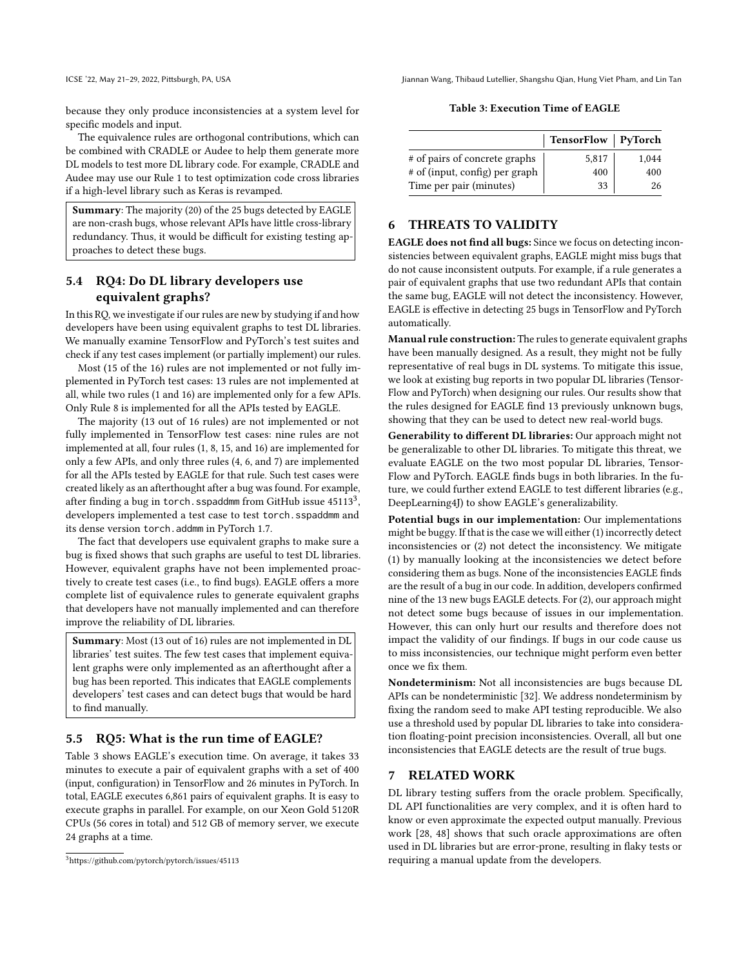ICSE '22, May 21-29, 2022, Pittsburgh, PA, USA Jiannan Wang, Thibaud Lutellier, Shangshu Qian, Hung Viet Pham, and Lin Tan

because they only produce inconsistencies at a system level for specific models and input.

The equivalence rules are orthogonal contributions, which can be combined with CRADLE or Audee to help them generate more DL models to test more DL library code. For example, CRADLE and Audee may use our Rule 1 to test optimization code cross libraries if a high-level library such as Keras is revamped.

Summary: The majority (20) of the 25 bugs detected by EAGLE are non-crash bugs, whose relevant APIs have little cross-library redundancy. Thus, it would be difficult for existing testing approaches to detect these bugs.

# <span id="page-9-2"></span>5.4 RQ4: Do DL library developers use equivalent graphs?

In this RQ, we investigate if our rules are new by studying if and how developers have been using equivalent graphs to test DL libraries. We manually examine TensorFlow and PyTorch's test suites and check if any test cases implement (or partially implement) our rules.

Most (15 of the 16) rules are not implemented or not fully implemented in PyTorch test cases: 13 rules are not implemented at all, while two rules (1 and 16) are implemented only for a few APIs. Only Rule 8 is implemented for all the APIs tested by EAGLE.

The majority (13 out of 16 rules) are not implemented or not fully implemented in TensorFlow test cases: nine rules are not implemented at all, four rules (1, 8, 15, and 16) are implemented for only a few APIs, and only three rules (4, 6, and 7) are implemented for all the APIs tested by EAGLE for that rule. Such test cases were created likely as an afterthought after a bug was found. For example, after finding a bug in torch.sspaddmm from GitHub issue  $45113^3,$  $45113^3,$  $45113^3,$ developers implemented a test case to test torch.sspaddmm and its dense version torch.addmm in PyTorch 1.7.

The fact that developers use equivalent graphs to make sure a bug is fixed shows that such graphs are useful to test DL libraries. However, equivalent graphs have not been implemented proactively to create test cases (i.e., to find bugs). EAGLE offers a more complete list of equivalence rules to generate equivalent graphs that developers have not manually implemented and can therefore improve the reliability of DL libraries.

Summary: Most (13 out of 16) rules are not implemented in DL libraries' test suites. The few test cases that implement equivalent graphs were only implemented as an afterthought after a bug has been reported. This indicates that EAGLE complements developers' test cases and can detect bugs that would be hard to find manually.

# <span id="page-9-3"></span>5.5 RQ5: What is the run time of EAGLE?

Table [3](#page-9-5) shows EAGLE's execution time. On average, it takes 33 minutes to execute a pair of equivalent graphs with a set of 400 (input, configuration) in TensorFlow and 26 minutes in PyTorch. In total, EAGLE executes 6,861 pairs of equivalent graphs. It is easy to execute graphs in parallel. For example, on our Xeon Gold 5120R CPUs (56 cores in total) and 512 GB of memory server, we execute 24 graphs at a time.

#### Table 3: Execution Time of EAGLE

<span id="page-9-5"></span>

|                                | TensorFlow   PyTorch |       |
|--------------------------------|----------------------|-------|
| # of pairs of concrete graphs  | 5.817                | 1.044 |
| # of (input, config) per graph | 400                  | 400   |
| Time per pair (minutes)        | 33                   | 26    |

# <span id="page-9-0"></span>6 THREATS TO VALIDITY

EAGLE does not find all bugs: Since we focus on detecting inconsistencies between equivalent graphs, EAGLE might miss bugs that do not cause inconsistent outputs. For example, if a rule generates a pair of equivalent graphs that use two redundant APIs that contain the same bug, EAGLE will not detect the inconsistency. However, EAGLE is effective in detecting 25 bugs in TensorFlow and PyTorch automatically.

Manual rule construction: The rules to generate equivalent graphs have been manually designed. As a result, they might not be fully representative of real bugs in DL systems. To mitigate this issue, we look at existing bug reports in two popular DL libraries (Tensor-Flow and PyTorch) when designing our rules. Our results show that the rules designed for EAGLE find 13 previously unknown bugs, showing that they can be used to detect new real-world bugs.

Generability to different DL libraries: Our approach might not be generalizable to other DL libraries. To mitigate this threat, we evaluate EAGLE on the two most popular DL libraries, Tensor-Flow and PyTorch. EAGLE finds bugs in both libraries. In the future, we could further extend EAGLE to test different libraries (e.g., DeepLearning4J) to show EAGLE's generalizability.

Potential bugs in our implementation: Our implementations might be buggy. If that is the case we will either (1) incorrectly detect inconsistencies or (2) not detect the inconsistency. We mitigate (1) by manually looking at the inconsistencies we detect before considering them as bugs. None of the inconsistencies EAGLE finds are the result of a bug in our code. In addition, developers confirmed nine of the 13 new bugs EAGLE detects. For (2), our approach might not detect some bugs because of issues in our implementation. However, this can only hurt our results and therefore does not impact the validity of our findings. If bugs in our code cause us to miss inconsistencies, our technique might perform even better once we fix them.

Nondeterminism: Not all inconsistencies are bugs because DL APIs can be nondeterministic [\[32\]](#page-11-29). We address nondeterminism by fixing the random seed to make API testing reproducible. We also use a threshold used by popular DL libraries to take into consideration floating-point precision inconsistencies. Overall, all but one inconsistencies that EAGLE detects are the result of true bugs.

# <span id="page-9-1"></span>7 RELATED WORK

DL library testing suffers from the oracle problem. Specifically, DL API functionalities are very complex, and it is often hard to know or even approximate the expected output manually. Previous work [\[28,](#page-11-9) [48\]](#page-12-4) shows that such oracle approximations are often used in DL libraries but are error-prone, resulting in flaky tests or requiring a manual update from the developers.

<span id="page-9-4"></span><sup>3</sup><https://github.com/pytorch/pytorch/issues/45113>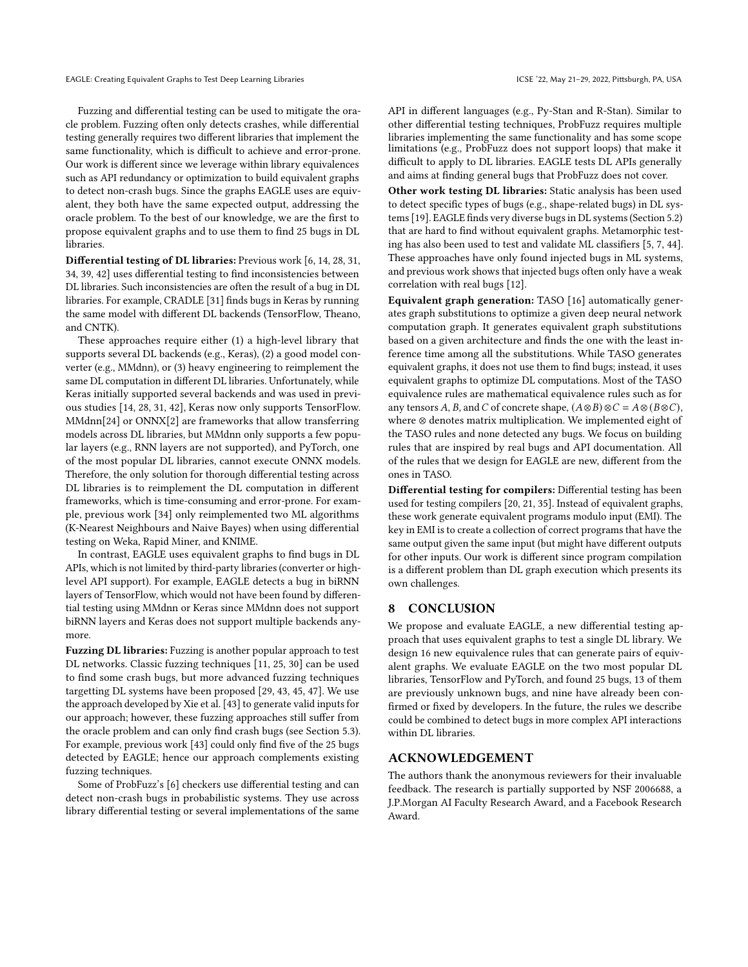Fuzzing and differential testing can be used to mitigate the oracle problem. Fuzzing often only detects crashes, while differential testing generally requires two different libraries that implement the same functionality, which is difficult to achieve and error-prone. Our work is different since we leverage within library equivalences such as API redundancy or optimization to build equivalent graphs to detect non-crash bugs. Since the graphs EAGLE uses are equivalent, they both have the same expected output, addressing the oracle problem. To the best of our knowledge, we are the first to propose equivalent graphs and to use them to find 25 bugs in DL libraries.

Differential testing of DL libraries: Previous work [\[6,](#page-11-30) [14,](#page-11-8) [28,](#page-11-9) [31,](#page-11-1) [34,](#page-11-31) [39,](#page-11-32) [42\]](#page-11-11) uses differential testing to find inconsistencies between DL libraries. Such inconsistencies are often the result of a bug in DL libraries. For example, CRADLE [\[31\]](#page-11-1) finds bugs in Keras by running the same model with different DL backends (TensorFlow, Theano, and CNTK).

These approaches require either (1) a high-level library that supports several DL backends (e.g., Keras), (2) a good model converter (e.g., MMdnn), or (3) heavy engineering to reimplement the same DL computation in different DL libraries. Unfortunately, while Keras initially supported several backends and was used in previous studies [\[14,](#page-11-8) [28,](#page-11-9) [31,](#page-11-1) [42\]](#page-11-11), Keras now only supports TensorFlow. MMdnn[\[24\]](#page-11-33) or ONNX[\[2\]](#page-11-34) are frameworks that allow transferring models across DL libraries, but MMdnn only supports a few popular layers (e.g., RNN layers are not supported), and PyTorch, one of the most popular DL libraries, cannot execute ONNX models. Therefore, the only solution for thorough differential testing across DL libraries is to reimplement the DL computation in different frameworks, which is time-consuming and error-prone. For example, previous work [\[34\]](#page-11-31) only reimplemented two ML algorithms (K-Nearest Neighbours and Naive Bayes) when using differential testing on Weka, Rapid Miner, and KNIME.

In contrast, EAGLE uses equivalent graphs to find bugs in DL APIs, which is not limited by third-party libraries (converter or highlevel API support). For example, EAGLE detects a bug in biRNN layers of TensorFlow, which would not have been found by differential testing using MMdnn or Keras since MMdnn does not support biRNN layers and Keras does not support multiple backends anymore.

Fuzzing DL libraries: Fuzzing is another popular approach to test DL networks. Classic fuzzing techniques [\[11,](#page-11-35) [25,](#page-11-36) [30\]](#page-11-37) can be used to find some crash bugs, but more advanced fuzzing techniques targetting DL systems have been proposed [\[29,](#page-11-10) [43,](#page-11-12) [45,](#page-11-13) [47\]](#page-12-3). We use the approach developed by Xie et al. [\[43\]](#page-11-12) to generate valid inputs for our approach; however, these fuzzing approaches still suffer from the oracle problem and can only find crash bugs (see Section [5.3\)](#page-8-0). For example, previous work [\[43\]](#page-11-12) could only find five of the 25 bugs detected by EAGLE; hence our approach complements existing fuzzing techniques.

Some of ProbFuzz's [\[6\]](#page-11-30) checkers use differential testing and can detect non-crash bugs in probabilistic systems. They use across library differential testing or several implementations of the same API in different languages (e.g., Py-Stan and R-Stan). Similar to other differential testing techniques, ProbFuzz requires multiple libraries implementing the same functionality and has some scope limitations (e.g., ProbFuzz does not support loops) that make it difficult to apply to DL libraries. EAGLE tests DL APIs generally and aims at finding general bugs that ProbFuzz does not cover.

Other work testing DL libraries: Static analysis has been used to detect specific types of bugs (e.g., shape-related bugs) in DL systems [\[19\]](#page-11-38). EAGLE finds very diverse bugs in DL systems (Section [5.2\)](#page-7-1) that are hard to find without equivalent graphs. Metamorphic testing has also been used to test and validate ML classifiers [\[5,](#page-11-39) [7,](#page-11-40) [44\]](#page-11-41). These approaches have only found injected bugs in ML systems, and previous work shows that injected bugs often only have a weak correlation with real bugs [\[12\]](#page-11-42).

Equivalent graph generation: TASO [\[16\]](#page-11-43) automatically generates graph substitutions to optimize a given deep neural network computation graph. It generates equivalent graph substitutions based on a given architecture and finds the one with the least inference time among all the substitutions. While TASO generates equivalent graphs, it does not use them to find bugs; instead, it uses equivalent graphs to optimize DL computations. Most of the TASO equivalence rules are mathematical equivalence rules such as for any tensors A, B, and C of concrete shape,  $(A \otimes B) \otimes C = A \otimes (B \otimes C)$ , where ⊗ denotes matrix multiplication. We implemented eight of the TASO rules and none detected any bugs. We focus on building rules that are inspired by real bugs and API documentation. All of the rules that we design for EAGLE are new, different from the ones in TASO.

Differential testing for compilers: Differential testing has been used for testing compilers [\[20,](#page-11-21) [21,](#page-11-22) [35\]](#page-11-23). Instead of equivalent graphs, these work generate equivalent programs modulo input (EMI). The key in EMI is to create a collection of correct programs that have the same output given the same input (but might have different outputs for other inputs. Our work is different since program compilation is a different problem than DL graph execution which presents its own challenges.

#### <span id="page-10-0"></span>8 CONCLUSION

We propose and evaluate EAGLE, a new differential testing approach that uses equivalent graphs to test a single DL library. We design 16 new equivalence rules that can generate pairs of equivalent graphs. We evaluate EAGLE on the two most popular DL libraries, TensorFlow and PyTorch, and found 25 bugs, 13 of them are previously unknown bugs, and nine have already been confirmed or fixed by developers. In the future, the rules we describe could be combined to detect bugs in more complex API interactions within DL libraries.

# ACKNOWLEDGEMENT

The authors thank the anonymous reviewers for their invaluable feedback. The research is partially supported by NSF 2006688, a J.P.Morgan AI Faculty Research Award, and a Facebook Research Award.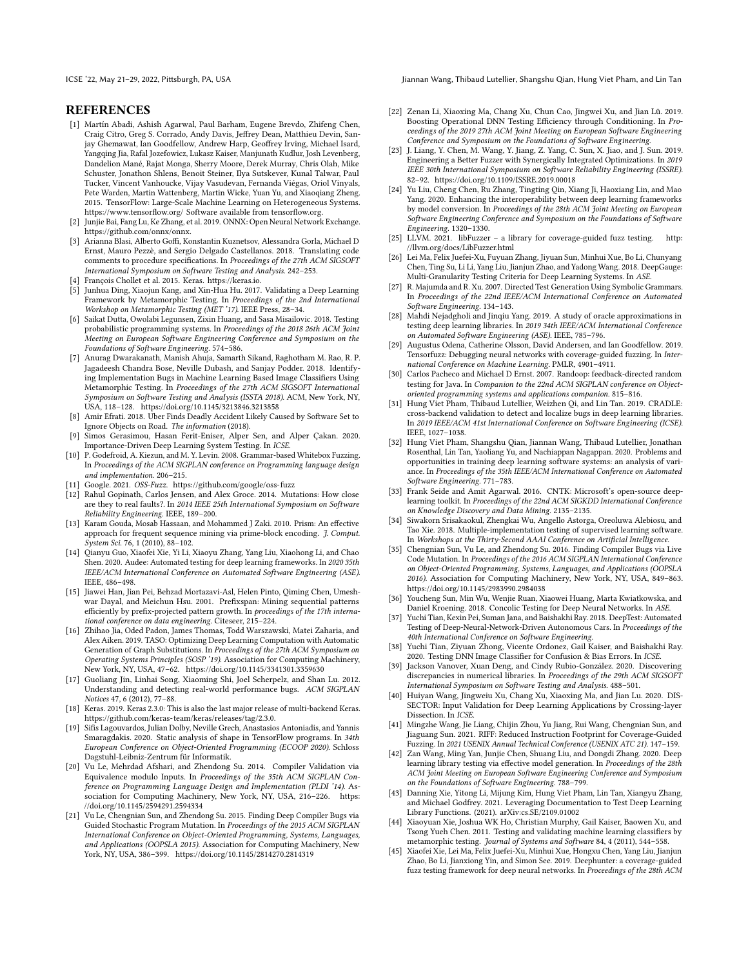ICSE '22, May 21-29, 2022, Pittsburgh, PA, USA Jiannan Wang, Thibaud Lutellier, Shangshu Qian, Hung Viet Pham, and Lin Tan

# **REFERENCES**

- <span id="page-11-14"></span>[1] Martín Abadi, Ashish Agarwal, Paul Barham, Eugene Brevdo, Zhifeng Chen, Craig Citro, Greg S. Corrado, Andy Davis, Jeffrey Dean, Matthieu Devin, Sanjay Ghemawat, Ian Goodfellow, Andrew Harp, Geoffrey Irving, Michael Isard, Yangqing Jia, Rafal Jozefowicz, Lukasz Kaiser, Manjunath Kudlur, Josh Levenberg, Dandelion Mané, Rajat Monga, Sherry Moore, Derek Murray, Chris Olah, Mike Schuster, Jonathon Shlens, Benoit Steiner, Ilya Sutskever, Kunal Talwar, Paul Tucker, Vincent Vanhoucke, Vijay Vasudevan, Fernanda Viégas, Oriol Vinyals, Pete Warden, Martin Wattenberg, Martin Wicke, Yuan Yu, and Xiaoqiang Zheng. 2015. TensorFlow: Large-Scale Machine Learning on Heterogeneous Systems. <https://www.tensorflow.org/> Software available from tensorflow.org.
- <span id="page-11-34"></span>[2] Junjie Bai, Fang Lu, Ke Zhang, et al. 2019. ONNX: Open Neural Network Exchange. [https://github.com/onnx/onnx.](https://github.com/onnx/onnx)
- <span id="page-11-24"></span>[3] Arianna Blasi, Alberto Goffi, Konstantin Kuznetsov, Alessandra Gorla, Michael D Ernst, Mauro Pezzè, and Sergio Delgado Castellanos. 2018. Translating code comments to procedure specifications. In Proceedings of the 27th ACM SIGSOFT International Symposium on Software Testing and Analysis. 242–253.
- <span id="page-11-16"></span>[4] François Chollet et al. 2015. Keras. [https://keras.io.](https://keras.io)
- <span id="page-11-39"></span>[5] Junhua Ding, Xiaojun Kang, and Xin-Hua Hu. 2017. Validating a Deep Learning Framework by Metamorphic Testing. In Proceedings of the 2nd International Workshop on Metamorphic Testing (MET '17). IEEE Press, 28–34.
- <span id="page-11-30"></span>[6] Saikat Dutta, Owolabi Legunsen, Zixin Huang, and Sasa Misailovic. 2018. Testing probabilistic programming systems. In Proceedings of the 2018 26th ACM Joint Meeting on European Software Engineering Conference and Symposium on the Foundations of Software Engineering. 574–586.
- <span id="page-11-40"></span>[7] Anurag Dwarakanath, Manish Ahuja, Samarth Sikand, Raghotham M. Rao, R. P. Jagadeesh Chandra Bose, Neville Dubash, and Sanjay Podder. 2018. Identifying Implementation Bugs in Machine Learning Based Image Classifiers Using Metamorphic Testing. In Proceedings of the 27th ACM SIGSOFT International Symposium on Software Testing and Analysis (ISSTA 2018). ACM, New York, NY, USA, 118–128.<https://doi.org/10.1145/3213846.3213858>
- <span id="page-11-0"></span>[8] Amir Efrati. 2018. Uber Finds Deadly Accident Likely Caused by Software Set to Ignore Objects on Road. The information (2018).
- <span id="page-11-2"></span>[9] Simos Gerasimou, Hasan Ferit-Eniser, Alper Sen, and Alper Çakan. 2020. Importance-Driven Deep Learning System Testing. In ICSE.
- <span id="page-11-25"></span>[10] P. Godefroid, A. Kiezun, and M. Y. Levin. 2008. Grammar-based Whitebox Fuzzing. In Proceedings of the ACM SIGPLAN conference on Programming language design and implementation. 206–215.
- <span id="page-11-35"></span>[11] Google. 2021. OSS-Fuzz.<https://github.com/google/oss-fuzz>
- <span id="page-11-42"></span>[12] Rahul Gopinath, Carlos Jensen, and Alex Groce. 2014. Mutations: How close are they to real faults?. In 2014 IEEE 25th International Symposium on Software Reliability Engineering. IEEE, 189–200.
- <span id="page-11-27"></span>[13] Karam Gouda, Mosab Hassaan, and Mohammed J Zaki. 2010. Prism: An effective approach for frequent sequence mining via prime-block encoding. J. Comput. System Sci. 76, 1 (2010), 88–102.
- <span id="page-11-8"></span>[14] Qianyu Guo, Xiaofei Xie, Yi Li, Xiaoyu Zhang, Yang Liu, Xiaohong Li, and Chao Shen. 2020. Audee: Automated testing for deep learning frameworks. In 2020 35th IEEE/ACM International Conference on Automated Software Engineering (ASE). IEEE, 486–498.
- <span id="page-11-28"></span>[15] Jiawei Han, Jian Pei, Behzad Mortazavi-Asl, Helen Pinto, Qiming Chen, Umeshwar Dayal, and Meichun Hsu. 2001. Prefixspan: Mining sequential patterns efficiently by prefix-projected pattern growth. In proceedings of the 17th international conference on data engineering. Citeseer, 215–224.
- <span id="page-11-43"></span>[16] Zhihao Jia, Oded Padon, James Thomas, Todd Warszawski, Matei Zaharia, and Alex Aiken. 2019. TASO: Optimizing Deep Learning Computation with Automatic Generation of Graph Substitutions. In Proceedings of the 27th ACM Symposium on Operating Systems Principles (SOSP '19). Association for Computing Machinery, New York, NY, USA, 47–62.<https://doi.org/10.1145/3341301.3359630>
- <span id="page-11-18"></span>[17] Guoliang Jin, Linhai Song, Xiaoming Shi, Joel Scherpelz, and Shan Lu. 2012. Understanding and detecting real-world performance bugs. ACM SIGPLAN Notices 47, 6 (2012), 77–88.
- <span id="page-11-17"></span>[18] Keras. 2019. Keras 2.3.0: This is also the last major release of multi-backend Keras. [https://github.com/keras-team/keras/releases/tag/2.3.0.](https://github.com/keras-team/keras/releases/tag/2.3.0)
- <span id="page-11-38"></span>[19] Sifis Lagouvardos, Julian Dolby, Neville Grech, Anastasios Antoniadis, and Yannis Smaragdakis. 2020. Static analysis of shape in TensorFlow programs. In 34th European Conference on Object-Oriented Programming (ECOOP 2020). Schloss Dagstuhl-Leibniz-Zentrum für Informatik.
- <span id="page-11-21"></span>[20] Vu Le, Mehrdad Afshari, and Zhendong Su. 2014. Compiler Validation via Equivalence modulo Inputs. In Proceedings of the 35th ACM SIGPLAN Conference on Programming Language Design and Implementation (PLDI '14). Association for Computing Machinery, New York, NY, USA, 216–226. [https:](https://doi.org/10.1145/2594291.2594334) [//doi.org/10.1145/2594291.2594334](https://doi.org/10.1145/2594291.2594334)
- <span id="page-11-22"></span>[21] Vu Le, Chengnian Sun, and Zhendong Su. 2015. Finding Deep Compiler Bugs via Guided Stochastic Program Mutation. In Proceedings of the 2015 ACM SIGPLAN International Conference on Object-Oriented Programming, Systems, Languages, and Applications (OOPSLA 2015). Association for Computing Machinery, New York, NY, USA, 386–399.<https://doi.org/10.1145/2814270.2814319>
- <span id="page-11-3"></span>[22] Zenan Li, Xiaoxing Ma, Chang Xu, Chun Cao, Jingwei Xu, and Jian Lü. 2019. Boosting Operational DNN Testing Efficiency through Conditioning. In Proceedings of the 2019 27th ACM Joint Meeting on European Software Engineering Conference and Symposium on the Foundations of Software Engineering.
- <span id="page-11-19"></span>[23] J. Liang, Y. Chen, M. Wang, Y. Jiang, Z. Yang, C. Sun, X. Jiao, and J. Sun. 2019. Engineering a Better Fuzzer with Synergically Integrated Optimizations. In 2019 IEEE 30th International Symposium on Software Reliability Engineering (ISSRE). 82–92.<https://doi.org/10.1109/ISSRE.2019.00018>
- <span id="page-11-33"></span>[24] Yu Liu, Cheng Chen, Ru Zhang, Tingting Qin, Xiang Ji, Haoxiang Lin, and Mao Yang. 2020. Enhancing the interoperability between deep learning frameworks by model conversion. In Proceedings of the 28th ACM Joint Meeting on European Software Engineering Conference and Symposium on the Foundations of Software Engineering. 1320–1330.
- <span id="page-11-36"></span>[25] LLVM. 2021. libFuzzer – a library for coverage-guided fuzz testing. [http:](http://llvm.org/docs/LibFuzzer.html) [//llvm.org/docs/LibFuzzer.html](http://llvm.org/docs/LibFuzzer.html)
- <span id="page-11-4"></span>[26] Lei Ma, Felix Juefei-Xu, Fuyuan Zhang, Jiyuan Sun, Minhui Xue, Bo Li, Chunyang Chen, Ting Su, Li Li, Yang Liu, Jianjun Zhao, and Yadong Wang. 2018. DeepGauge: Multi-Granularity Testing Criteria for Deep Learning Systems. In ASE.
- <span id="page-11-26"></span>[27] R. Majumda and R. Xu. 2007. Directed Test Generation Using Symbolic Grammars. In Proceedings of the 22nd IEEE/ACM International Conference on Automated Software Engineering. 134–143.
- <span id="page-11-9"></span>[28] Mahdi Nejadgholi and Jinqiu Yang. 2019. A study of oracle approximations in testing deep learning libraries. In 2019 34th IEEE/ACM International Conference on Automated Software Engineering (ASE). IEEE, 785–796.
- <span id="page-11-10"></span>[29] Augustus Odena, Catherine Olsson, David Andersen, and Ian Goodfellow. 2019. Tensorfuzz: Debugging neural networks with coverage-guided fuzzing. In International Conference on Machine Learning. PMLR, 4901–4911.
- <span id="page-11-37"></span>[30] Carlos Pacheco and Michael D Ernst. 2007. Randoop: feedback-directed random testing for Java. In Companion to the 22nd ACM SIGPLAN conference on Objectoriented programming systems and applications companion. 815–816.
- <span id="page-11-1"></span>[31] Hung Viet Pham, Thibaud Lutellier, Weizhen Qi, and Lin Tan. 2019. CRADLE: cross-backend validation to detect and localize bugs in deep learning libraries. In 2019 IEEE/ACM 41st International Conference on Software Engineering (ICSE). IEEE, 1027–1038.
- <span id="page-11-29"></span>[32] Hung Viet Pham, Shangshu Qian, Jiannan Wang, Thibaud Lutellier, Jonathan Rosenthal, Lin Tan, Yaoliang Yu, and Nachiappan Nagappan. 2020. Problems and opportunities in training deep learning software systems: an analysis of variance. In Proceedings of the 35th IEEE/ACM International Conference on Automated Software Engineering. 771–783.
- <span id="page-11-15"></span>[33] Frank Seide and Amit Agarwal. 2016. CNTK: Microsoft's open-source deeplearning toolkit. In Proceedings of the 22nd ACM SIGKDD International Conference on Knowledge Discovery and Data Mining. 2135–2135.
- <span id="page-11-31"></span>[34] Siwakorn Srisakaokul, Zhengkai Wu, Angello Astorga, Oreoluwa Alebiosu, and Tao Xie. 2018. Multiple-implementation testing of supervised learning software. In Workshops at the Thirty-Second AAAI Conference on Artificial Intelligence.
- <span id="page-11-23"></span>[35] Chengnian Sun, Vu Le, and Zhendong Su. 2016. Finding Compiler Bugs via Live Code Mutation. In Proceedings of the 2016 ACM SIGPLAN International Conference on Object-Oriented Programming, Systems, Languages, and Applications (OOPSLA 2016). Association for Computing Machinery, New York, NY, USA, 849–863. <https://doi.org/10.1145/2983990.2984038>
- <span id="page-11-5"></span>[36] Youcheng Sun, Min Wu, Wenjie Ruan, Xiaowei Huang, Marta Kwiatkowska, and Daniel Kroening. 2018. Concolic Testing for Deep Neural Networks. In ASE.
- [37] Yuchi Tian, Kexin Pei, Suman Jana, and Baishakhi Ray. 2018. DeepTest: Automated Testing of Deep-Neural-Network-Driven Autonomous Cars. In Proceedings of the 40th International Conference on Software Engineering.
- <span id="page-11-6"></span>[38] Yuchi Tian, Ziyuan Zhong, Vicente Ordonez, Gail Kaiser, and Baishakhi Ray. 2020. Testing DNN Image Classifier for Confusion & Bias Errors. In ICSE.
- <span id="page-11-32"></span>[39] Jackson Vanover, Xuan Deng, and Cindy Rubio-González. 2020. Discovering discrepancies in numerical libraries. In Proceedings of the 29th ACM SIGSOFT International Symposium on Software Testing and Analysis. 488–501.
- <span id="page-11-7"></span>[40] Huiyan Wang, Jingweiu Xu, Chang Xu, Xiaoxing Ma, and Jian Lu. 2020. DIS-SECTOR: Input Validation for Deep Learning Applications by Crossing-layer Dissection. In ICSE.
- <span id="page-11-20"></span>[41] Mingzhe Wang, Jie Liang, Chijin Zhou, Yu Jiang, Rui Wang, Chengnian Sun, and Jiaguang Sun. 2021. RIFF: Reduced Instruction Footprint for Coverage-Guided Fuzzing. In 2021 USENIX Annual Technical Conference (USENIX ATC 21). 147–159.
- <span id="page-11-11"></span>[42] Zan Wang, Ming Yan, Junjie Chen, Shuang Liu, and Dongdi Zhang. 2020. Deep learning library testing via effective model generation. In Proceedings of the 28th ACM Joint Meeting on European Software Engineering Conference and Symposium on the Foundations of Software Engineering. 788–799.
- <span id="page-11-12"></span>[43] Danning Xie, Yitong Li, Mijung Kim, Hung Viet Pham, Lin Tan, Xiangyu Zhang, and Michael Godfrey. 2021. Leveraging Documentation to Test Deep Learning Library Functions. (2021). arXiv[:cs.SE/2109.01002](https://arxiv.org/abs/cs.SE/2109.01002)
- <span id="page-11-41"></span>[44] Xiaoyuan Xie, Joshua WK Ho, Christian Murphy, Gail Kaiser, Baowen Xu, and Tsong Yueh Chen. 2011. Testing and validating machine learning classifiers by metamorphic testing. Journal of Systems and Software 84, 4 (2011), 544–558.
- <span id="page-11-13"></span>[45] Xiaofei Xie, Lei Ma, Felix Juefei-Xu, Minhui Xue, Hongxu Chen, Yang Liu, Jianjun Zhao, Bo Li, Jianxiong Yin, and Simon See. 2019. Deephunter: a coverage-guided fuzz testing framework for deep neural networks. In Proceedings of the 28th ACM